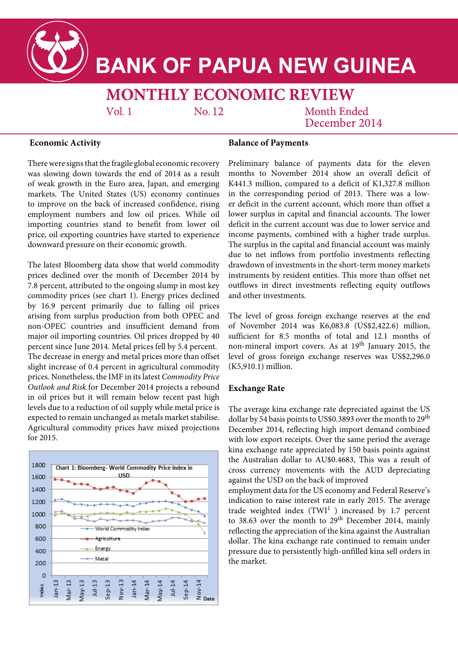

# **BANK OF PAPUA NEW GUINEA**

## **MONTHLY ECONOMIC REVIEW**

 $Vol<sub>1</sub>$ 

No. 12

### Month Ended December 2014

#### **Economic Activity**

There were signs that the fragile global economic recovery was slowing down towards the end of 2014 as a result of weak growth in the Euro area, Japan, and emerging markets. The United States (US) economy continues to improve on the back of increased confidence, rising employment numbers and low oil prices. While oil importing countries stand to benefit from lower oil price, oil exporting countries have started to experience downward pressure on their economic growth.

The latest Bloomberg data show that world commodity prices declined over the month of December 2014 by 7.8 percent, attributed to the ongoing slump in most key commodity prices (see chart 1). Energy prices declined by 16.9 percent primarily due to falling oil prices arising from surplus production from both OPEC and non-OPEC countries and insufficient demand from major oil importing countries. Oil prices dropped by 40 percent since June 2014. Metal prices fell by 5.4 percent. The decrease in energy and metal prices more than offset slight increase of 0.4 percent in agricultural commodity prices. Nonetheless, the IMF in its latest *Commodity Price Outlook and Risk* for December 2014 projects a rebound in oil prices but it will remain below recent past high levels due to a reduction of oil supply while metal price is expected to remain unchanged as metals market stabilise. Agricultural commodity prices have mixed projections for 2015.



#### **Balance of Payments**

Preliminary balance of payments data for the eleven months to November 2014 show an overall deficit of K441.3 million, compared to a deficit of K1,327.8 million in the corresponding period of 2013. There was a lower deficit in the current account, which more than offset a lower surplus in capital and financial accounts. The lower deficit in the current account was due to lower service and income payments, combined with a higher trade surplus. The surplus in the capital and financial account was mainly due to net inflows from portfolio investments reflecting drawdown of investments in the short-term money markets instruments by resident entities. This more than offset net outflows in direct investments reflecting equity outflows and other investments.

The level of gross foreign exchange reserves at the end of November 2014 was K6,083.8 (US\$2,422.6) million, sufficient for 8.5 months of total and 12.1 months of non-mineral import covers. As at 19<sup>th</sup> January 2015, the level of gross foreign exchange reserves was US\$2,296.0 (K5,910.1) million.

#### **Exchange Rate**

The average kina exchange rate depreciated against the US dollar by 54 basis points to US\$0.3893 over the month to 29<sup>th</sup> December 2014, reflecting high import demand combined with low export receipts. Over the same period the average kina exchange rate appreciated by 150 basis points against the Australian dollar to AU\$0.4683, This was a result of cross currency movements with the AUD depreciating against the USD on the back of improved

employment data for the US economy and Federal Reserve's indication to raise interest rate in early 2015. The average trade weighted index  $(TWI<sup>1</sup>)$  increased by 1.7 percent to 38.63 over the month to  $29<sup>th</sup>$  December 2014, mainly reflecting the appreciation of the kina against the Australian dollar. The kina exchange rate continued to remain under pressure due to persistently high-unfilled kina sell orders in the market.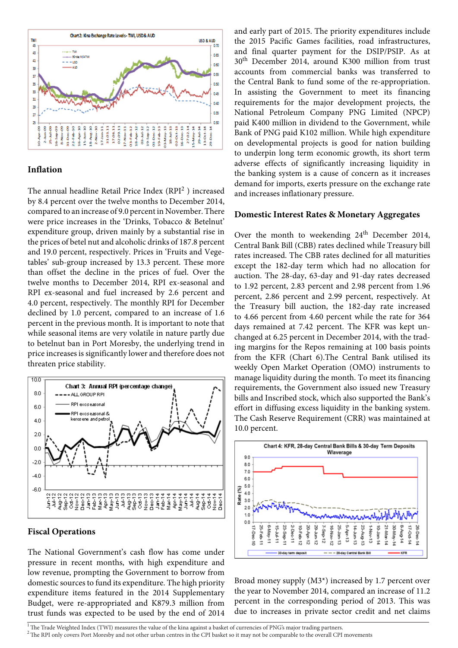

#### **Inflation**

The annual headline Retail Price Index (RPI<sup>2</sup>) increased by 8.4 percent over the twelve months to December 2014, compared to an increase of 9.0 percent in November. There were price increases in the 'Drinks, Tobacco & Betelnut' expenditure group, driven mainly by a substantial rise in the prices of betel nut and alcoholic drinks of 187.8 percent and 19.0 percent, respectively. Prices in 'Fruits and Vegetables' sub-group increased by 13.3 percent. These more than offset the decline in the prices of fuel. Over the twelve months to December 2014, RPI ex-seasonal and RPI ex-seasonal and fuel increased by 2.6 percent and 4.0 percent, respectively. The monthly RPI for December declined by 1.0 percent, compared to an increase of 1.6 percent in the previous month. It is important to note that while seasonal items are very volatile in nature partly due to betelnut ban in Port Moresby, the underlying trend in price increases is significantly lower and therefore does not threaten price stability.



#### **Fiscal Operations**

The National Government's cash flow has come under pressure in recent months, with high expenditure and low revenue, prompting the Government to borrow from domestic sources to fund its expenditure. The high priority expenditure items featured in the 2014 Supplementary Budget, were re-appropriated and K879.3 million from trust funds was expected to be used by the end of 2014

and early part of 2015. The priority expenditures include the 2015 Pacific Games facilities, road infrastructures, and final quarter payment for the DSIP/PSIP. As at 30th December 2014, around K300 million from trust accounts from commercial banks was transferred to the Central Bank to fund some of the re-appropriation. In assisting the Government to meet its financing requirements for the major development projects, the National Petroleum Company PNG Limited (NPCP) paid K400 million in dividend to the Government, while Bank of PNG paid K102 million. While high expenditure on developmental projects is good for nation building to underpin long term economic growth, its short term adverse effects of significantly increasing liquidity in the banking system is a cause of concern as it increases demand for imports, exerts pressure on the exchange rate and increases inflationary pressure.

#### **Domestic Interest Rates & Monetary Aggregates**

Over the month to weekending 24<sup>th</sup> December 2014, Central Bank Bill (CBB) rates declined while Treasury bill rates increased. The CBB rates declined for all maturities except the 182-day term which had no allocation for auction. The 28-day, 63-day and 91-day rates decreased to 1.92 percent, 2.83 percent and 2.98 percent from 1.96 percent, 2.86 percent and 2.99 percent, respectively. At the Treasury bill auction, the 182-day rate increased to 4.66 percent from 4.60 percent while the rate for 364 days remained at 7.42 percent. The KFR was kept unchanged at 6.25 percent in December 2014, with the trading margins for the Repos remaining at 100 basis points from the KFR (Chart 6).The Central Bank utilised its weekly Open Market Operation (OMO) instruments to manage liquidity during the month. To meet its financing requirements, the Government also issued new Treasury bills and Inscribed stock, which also supported the Bank's effort in diffusing excess liquidity in the banking system. The Cash Reserve Requirement (CRR) was maintained at 10.0 percent.



Broad money supply (M3\*) increased by 1.7 percent over the year to November 2014, compared an increase of 11.2 percent in the corresponding period of 2013. This was due to increases in private sector credit and net claims

 $\overline{1}$ The Trade Weighted Index (TWI) measures the value of the kina against a basket of currencies of PNG's major trading partners.

<sup>&</sup>lt;sup>2</sup> The RPI only covers Port Moresby and not other urban centres in the CPI basket so it may not be comparable to the overall CPI movements